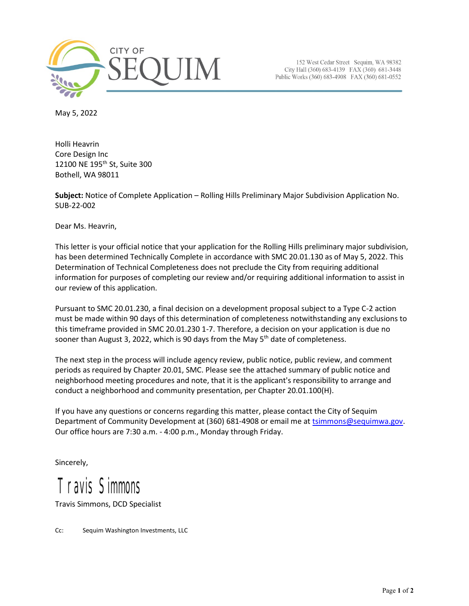

152 West Cedar Street Sequim, WA 98382 City Hall (360) 683-4139 FAX (360) 681-3448 Public Works (360) 683-4908 FAX (360) 681-0552

May 5, 2022

Holli Heavrin Core Design Inc 12100 NE 195th St, Suite 300 Bothell, WA 98011

**Subject:** Notice of Complete Application – Rolling Hills Preliminary Major Subdivision Application No. SUB-22-002

Dear Ms. Heavrin,

This letter is your official notice that your application for the Rolling Hills preliminary major subdivision, has been determined Technically Complete in accordance with SMC 20.01.130 as of May 5, 2022. This Determination of Technical Completeness does not preclude the City from requiring additional information for purposes of completing our review and/or requiring additional information to assist in our review of this application.

Pursuant to SMC 20.01.230, a final decision on a development proposal subject to a Type C-2 action must be made within 90 days of this determination of completeness notwithstanding any exclusions to this timeframe provided in SMC 20.01.230 1-7. Therefore, a decision on your application is due no sooner than August 3, 2022, which is 90 days from the May  $5<sup>th</sup>$  date of completeness.

The next step in the process will include agency review, public notice, public review, and comment periods as required by Chapter 20.01, SMC. Please see the attached summary of public notice and neighborhood meeting procedures and note, that it is the applicant's responsibility to arrange and conduct a neighborhood and community presentation, per Chapter 20.01.100(H).

If you have any questions or concerns regarding this matter, please contact the City of Sequim Department of Community Development at (360) 681-4908 or email me a[t tsimmons@sequimwa.gov.](mailto:tsimmons@sequimwa.gov) Our office hours are 7:30 a.m. - 4:00 p.m., Monday through Friday.

Sincerely,

## Travis Simmons

Travis Simmons, DCD Specialist

Cc: Sequim Washington Investments, LLC